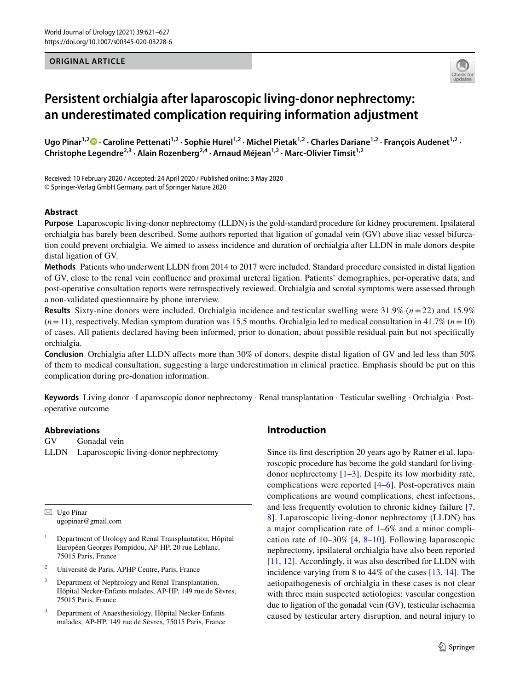## **ORIGINAL ARTICLE**



# **Persistent orchialgia after laparoscopic living‑donor nephrectomy: an underestimated complication requiring information adjustment**

Ugo Pinar<sup>1,[2](http://orcid.org/0000-0001-6135-1005)</sup> • Caroline Pettenati<sup>1,2</sup> · Sophie Hurel<sup>1,2</sup> · Michel Pietak<sup>1,2</sup> · Charles Dariane<sup>1,2</sup> · François Audenet<sup>1,2</sup> · Christophe Legendre<sup>2,3</sup> · Alain Rozenberg<sup>2,4</sup> · Arnaud Méjean<sup>1,2</sup> · Marc-Olivier Timsit<sup>1,2</sup>

Received: 10 February 2020 / Accepted: 24 April 2020 / Published online: 3 May 2020 © Springer-Verlag GmbH Germany, part of Springer Nature 2020

## **Abstract**

**Purpose** Laparoscopic living-donor nephrectomy (LLDN) is the gold-standard procedure for kidney procurement. Ipsilateral orchialgia has barely been described. Some authors reported that ligation of gonadal vein (GV) above iliac vessel bifurcation could prevent orchialgia. We aimed to assess incidence and duration of orchialgia after LLDN in male donors despite distal ligation of GV.

**Methods** Patients who underwent LLDN from 2014 to 2017 were included. Standard procedure consisted in distal ligation of GV, close to the renal vein confuence and proximal ureteral ligation. Patients' demographics, per-operative data, and post-operative consultation reports were retrospectively reviewed. Orchialgia and scrotal symptoms were assessed through a non-validated questionnaire by phone interview.

**Results** Sixty-nine donors were included. Orchialgia incidence and testicular swelling were 31.9% (*n* =22) and 15.9%  $(n=11)$ , respectively. Median symptom duration was 15.5 months. Orchialgia led to medical consultation in 41.7% ( $n=10$ ) of cases. All patients declared having been informed, prior to donation, about possible residual pain but not specifcally orchialgia.

**Conclusion** Orchialgia after LLDN affects more than 30% of donors, despite distal ligation of GV and led less than 50% of them to medical consultation, suggesting a large underestimation in clinical practice. Emphasis should be put on this complication during pre-donation information.

**Keywords** Living donor · Laparoscopic donor nephrectomy · Renal transplantation · Testicular swelling · Orchialgia · Postoperative outcome

#### **Abbreviations**

GV Gonadal vein LLDN Laparoscopic living-donor nephrectomy

 $\boxtimes$  Ugo Pinar ugopinar@gmail.com

- <sup>1</sup> Department of Urology and Renal Transplantation, Hôpital Européen Georges Pompidou, AP-HP, 20 rue Leblanc, 75015 Paris, France
- <sup>2</sup> Université de Paris, APHP Centre, Paris, France
- <sup>3</sup> Department of Nephrology and Renal Transplantation, Hôpital Necker-Enfants malades, AP-HP, 149 rue de Sèvres, 75015 Paris, France
- <sup>4</sup> Department of Anaesthesiology, Hôpital Necker-Enfants malades, AP-HP, 149 rue de Sèvres, 75015 Paris, France

# **Introduction**

Since its frst description 20 years ago by Ratner et al. laparoscopic procedure has become the gold standard for livingdonor nephrectomy  $[1-3]$  $[1-3]$  $[1-3]$ . Despite its low morbidity rate, complications were reported [[4](#page-5-2)[–6\]](#page-5-3). Post-operatives main complications are wound complications, chest infections, and less frequently evolution to chronic kidney failure [[7,](#page-5-4) [8](#page-5-5)]. Laparoscopic living-donor nephrectomy (LLDN) has a major complication rate of 1–6% and a minor complication rate of 10–30% [\[4,](#page-5-2) [8–](#page-5-5)[10](#page-5-6)]. Following laparoscopic nephrectomy, ipsilateral orchialgia have also been reported [[11,](#page-5-7) [12\]](#page-5-8). Accordingly, it was also described for LLDN with incidence varying from 8 to 44% of the cases [[13,](#page-5-9) [14](#page-5-10)]. The aetiopathogenesis of orchialgia in these cases is not clear with three main suspected aetiologies: vascular congestion due to ligation of the gonadal vein (GV), testicular ischaemia caused by testicular artery disruption, and neural injury to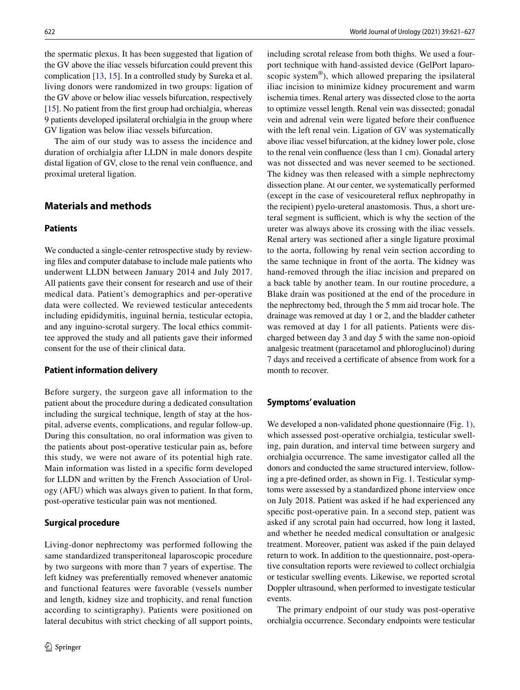the spermatic plexus. It has been suggested that ligation of the GV above the iliac vessels bifurcation could prevent this complication [\[13](#page-5-9), [15](#page-5-11)]. In a controlled study by Sureka et al. living donors were randomized in two groups: ligation of the GV above or below iliac vessels bifurcation, respectively [\[15](#page-5-11)]. No patient from the first group had orchialgia, whereas 9 patients developed ipsilateral orchialgia in the group where GV ligation was below iliac vessels bifurcation.

The aim of our study was to assess the incidence and duration of orchialgia after LLDN in male donors despite distal ligation of GV, close to the renal vein confuence, and proximal ureteral ligation.

# **Materials and methods**

## **Patients**

We conducted a single-center retrospective study by reviewing fles and computer database to include male patients who underwent LLDN between January 2014 and July 2017. All patients gave their consent for research and use of their medical data. Patient's demographics and per-operative data were collected. We reviewed testicular antecedents including epididymitis, inguinal hernia, testicular ectopia, and any inguino-scrotal surgery. The local ethics committee approved the study and all patients gave their informed consent for the use of their clinical data.

## **Patient information delivery**

Before surgery, the surgeon gave all information to the patient about the procedure during a dedicated consultation including the surgical technique, length of stay at the hospital, adverse events, complications, and regular follow-up. During this consultation, no oral information was given to the patients about post-operative testicular pain as, before this study, we were not aware of its potential high rate. Main information was listed in a specifc form developed for LLDN and written by the French Association of Urology (AFU) which was always given to patient. In that form, post-operative testicular pain was not mentioned.

#### **Surgical procedure**

Living-donor nephrectomy was performed following the same standardized transperitoneal laparoscopic procedure by two surgeons with more than 7 years of expertise. The left kidney was preferentially removed whenever anatomic and functional features were favorable (vessels number and length, kidney size and trophicity, and renal function according to scintigraphy). Patients were positioned on lateral decubitus with strict checking of all support points, including scrotal release from both thighs. We used a fourport technique with hand-assisted device (GelPort laparoscopic system<sup>®</sup>), which allowed preparing the ipsilateral iliac incision to minimize kidney procurement and warm ischemia times. Renal artery was dissected close to the aorta to optimize vessel length. Renal vein was dissected; gonadal vein and adrenal vein were ligated before their confuence with the left renal vein. Ligation of GV was systematically above iliac vessel bifurcation, at the kidney lower pole, close to the renal vein confuence (less than 1 cm). Gonadal artery was not dissected and was never seemed to be sectioned. The kidney was then released with a simple nephrectomy dissection plane. At our center, we systematically performed (except in the case of vesicoureteral refux nephropathy in the recipient) pyelo-ureteral anastomosis. Thus, a short ureteral segment is sufficient, which is why the section of the ureter was always above its crossing with the iliac vessels. Renal artery was sectioned after a single ligature proximal to the aorta, following by renal vein section according to the same technique in front of the aorta. The kidney was hand-removed through the iliac incision and prepared on a back table by another team. In our routine procedure, a Blake drain was positioned at the end of the procedure in the nephrectomy bed, through the 5 mm aid trocar hole. The drainage was removed at day 1 or 2, and the bladder catheter was removed at day 1 for all patients. Patients were discharged between day 3 and day 5 with the same non-opioid analgesic treatment (paracetamol and phloroglucinol) during 7 days and received a certifcate of absence from work for a month to recover.

#### **Symptoms' evaluation**

We developed a non-validated phone questionnaire (Fig. [1](#page-2-0)), which assessed post-operative orchialgia, testicular swelling, pain duration, and interval time between surgery and orchialgia occurrence. The same investigator called all the donors and conducted the same structured interview, following a pre-defned order, as shown in Fig. [1.](#page-2-0) Testicular symptoms were assessed by a standardized phone interview once on July 2018. Patient was asked if he had experienced any specifc post-operative pain. In a second step, patient was asked if any scrotal pain had occurred, how long it lasted, and whether he needed medical consultation or analgesic treatment. Moreover, patient was asked if the pain delayed return to work. In addition to the questionnaire, post-operative consultation reports were reviewed to collect orchialgia or testicular swelling events. Likewise, we reported scrotal Doppler ultrasound, when performed to investigate testicular events.

The primary endpoint of our study was post-operative orchialgia occurrence. Secondary endpoints were testicular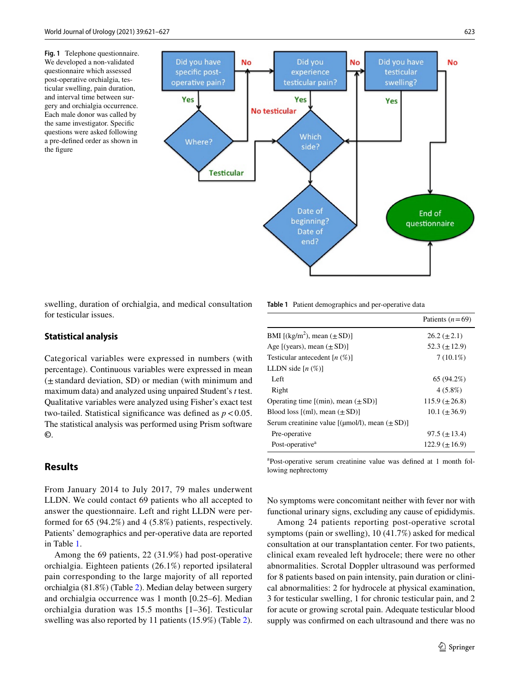<span id="page-2-0"></span>**Fig. 1** Telephone questionnaire. We developed a non-validated questionnaire which assessed post-operative orchialgia, testicular swelling, pain duration, and interval time between surgery and orchialgia occurrence. Each male donor was called by the same investigator. Specifc questions were asked following a pre-defned order as shown in the fgure



swelling, duration of orchialgia, and medical consultation for testicular issues.

#### **Statistical analysis**

Categorical variables were expressed in numbers (with percentage). Continuous variables were expressed in mean (±standard deviation, SD) or median (with minimum and maximum data) and analyzed using unpaired Student's *t* test. Qualitative variables were analyzed using Fisher's exact test two-tailed. Statistical significance was defined as  $p < 0.05$ . The statistical analysis was performed using Prism software **©**.

## **Results**

From January 2014 to July 2017, 79 males underwent LLDN. We could contact 69 patients who all accepted to answer the questionnaire. Left and right LLDN were performed for 65 (94.2%) and 4 (5.8%) patients, respectively. Patients' demographics and per-operative data are reported in Table [1](#page-2-1).

Among the 69 patients, 22 (31.9%) had post-operative orchialgia. Eighteen patients (26.1%) reported ipsilateral pain corresponding to the large majority of all reported orchialgia (81.8%) (Table [2\)](#page-3-0). Median delay between surgery and orchialgia occurrence was 1 month [0.25–6]. Median orchialgia duration was 15.5 months [1–36]. Testicular swelling was also reported by 11 patients (15.9%) (Table [2](#page-3-0)).

<span id="page-2-1"></span>**Table 1** Patient demographics and per-operative data

|                                                           | Patients $(n=69)$    |
|-----------------------------------------------------------|----------------------|
| BMI [(kg/m <sup>2</sup> ), mean ( $\pm$ SD)]              | $26.2 \ (\pm 2.1)$   |
| Age [(years), mean $(\pm SD)$ ]                           | 52.3 $(\pm 12.9)$    |
| Testicular antecedent $[n (%)]$                           | $7(10.1\%)$          |
| LLDN side $[n \ (\%)]$                                    |                      |
| Left                                                      | 65 (94.2%)           |
| Right                                                     | $4(5.8\%)$           |
| Operating time $[(min), mean (\pm SD)]$                   | $115.9 \ (\pm 26.8)$ |
| Blood loss $[(ml),$ mean $(\pm SD)]$                      | $10.1 (+36.9)$       |
| Serum creatinine value [( $\mu$ mol/l), mean ( $\pm$ SD)] |                      |
| Pre-operative                                             | $97.5 (\pm 13.4)$    |
| Post-operative <sup>a</sup>                               | $122.9 \ (\pm 16.9)$ |

a Post-operative serum creatinine value was defned at 1 month following nephrectomy

No symptoms were concomitant neither with fever nor with functional urinary signs, excluding any cause of epididymis.

Among 24 patients reporting post-operative scrotal symptoms (pain or swelling), 10 (41.7%) asked for medical consultation at our transplantation center. For two patients, clinical exam revealed left hydrocele; there were no other abnormalities. Scrotal Doppler ultrasound was performed for 8 patients based on pain intensity, pain duration or clinical abnormalities: 2 for hydrocele at physical examination, 3 for testicular swelling, 1 for chronic testicular pain, and 2 for acute or growing scrotal pain. Adequate testicular blood supply was confrmed on each ultrasound and there was no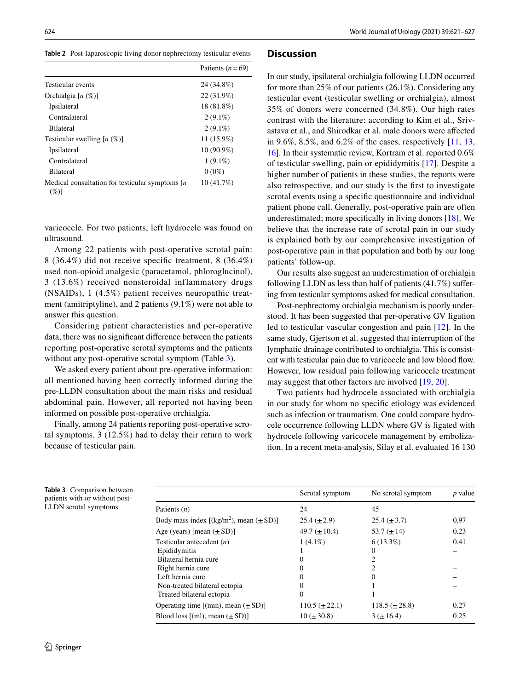<span id="page-3-0"></span>**Table 2** Post-laparoscopic living donor nephrectomy testicular events

|                                                               | Patients $(n=69)$ |
|---------------------------------------------------------------|-------------------|
| Testicular events                                             | 24 (34.8%)        |
| Orchialgia $[n (\%)]$                                         | 22 (31.9%)        |
| Ipsilateral                                                   | 18 (81.8%)        |
| Contralateral                                                 | $2(9.1\%)$        |
| <b>Bilateral</b>                                              | $2(9.1\%)$        |
| Testicular swelling $[n (\%)]$                                | 11 (15.9%)        |
| Ipsilateral                                                   | 10 (90.9%)        |
| Contralateral                                                 | $1(9.1\%)$        |
| <b>Bilateral</b>                                              | $0(0\%)$          |
| Medical consultation for testicular symptoms $[n]$<br>$(%)$ ] | 10(41.7%)         |

varicocele. For two patients, left hydrocele was found on ultrasound.

Among 22 patients with post-operative scrotal pain: 8 (36.4%) did not receive specifc treatment, 8 (36.4%) used non-opioid analgesic (paracetamol, phloroglucinol), 3 (13.6%) received nonsteroidal inflammatory drugs (NSAIDs), 1 (4.5%) patient receives neuropathic treatment (amitriptyline), and 2 patients (9.1%) were not able to answer this question.

Considering patient characteristics and per-operative data, there was no signifcant diference between the patients reporting post-operative scrotal symptoms and the patients without any post-operative scrotal symptom (Table [3](#page-3-1)).

We asked every patient about pre-operative information: all mentioned having been correctly informed during the pre-LLDN consultation about the main risks and residual abdominal pain. However, all reported not having been informed on possible post-operative orchialgia.

Finally, among 24 patients reporting post-operative scrotal symptoms, 3 (12.5%) had to delay their return to work because of testicular pain.

#### **Discussion**

In our study, ipsilateral orchialgia following LLDN occurred for more than 25% of our patients (26.1%). Considering any testicular event (testicular swelling or orchialgia), almost 35% of donors were concerned (34.8%). Our high rates contrast with the literature: according to Kim et al., Srivastava et al., and Shirodkar et al. male donors were afected in 9.6%, 8.5%, and 6.2% of the cases, respectively [[11](#page-5-7), [13,](#page-5-9) [16](#page-5-12)]. In their systematic review, Kortram et al. reported 0.6% of testicular swelling, pain or epididymitis [[17\]](#page-5-13). Despite a higher number of patients in these studies, the reports were also retrospective, and our study is the frst to investigate scrotal events using a specifc questionnaire and individual patient phone call. Generally, post-operative pain are often underestimated; more specifcally in living donors [[18\]](#page-5-14). We believe that the increase rate of scrotal pain in our study is explained both by our comprehensive investigation of post-operative pain in that population and both by our long patients' follow-up.

Our results also suggest an underestimation of orchialgia following LLDN as less than half of patients (41.7%) sufering from testicular symptoms asked for medical consultation.

Post-nephrectomy orchialgia mechanism is poorly understood. It has been suggested that per-operative GV ligation led to testicular vascular congestion and pain [[12\]](#page-5-8). In the same study, Gjertson et al. suggested that interruption of the lymphatic drainage contributed to orchialgia. This is consistent with testicular pain due to varicocele and low blood fow. However, low residual pain following varicocele treatment may suggest that other factors are involved [[19,](#page-5-15) [20\]](#page-5-16).

Two patients had hydrocele associated with orchialgia in our study for whom no specifc etiology was evidenced such as infection or traumatism. One could compare hydrocele occurrence following LLDN where GV is ligated with hydrocele following varicocele management by embolization. In a recent meta-analysis, Silay et al. evaluated 16 130

<span id="page-3-1"></span>

| <b>Table 3</b> Comparison between |
|-----------------------------------|
| patients with or without post-    |
| <b>LLDN</b> scrotal symptoms      |

| Scrotal symptom    | No scrotal symptom | <i>p</i> value |
|--------------------|--------------------|----------------|
| 24                 | 45                 |                |
| $25.4 \ (\pm 2.9)$ | $25.4 \ (\pm 3.7)$ | 0.97           |
| 49.7 $(\pm 10.4)$  | 53.7 $(\pm 14)$    | 0.23           |
| $1(4.1\%)$         | $6(13.3\%)$        | 0.41           |
|                    |                    |                |
| 0                  |                    |                |
| 0                  | 2                  |                |
| 0                  |                    |                |
| 0                  |                    |                |
| 0                  |                    |                |
| $110.5 (\pm 22.1)$ | 118.5 $(\pm 28.8)$ | 0.27           |
| $10 (\pm 30.8)$    | $3 (+16.4)$        | 0.25           |
|                    |                    |                |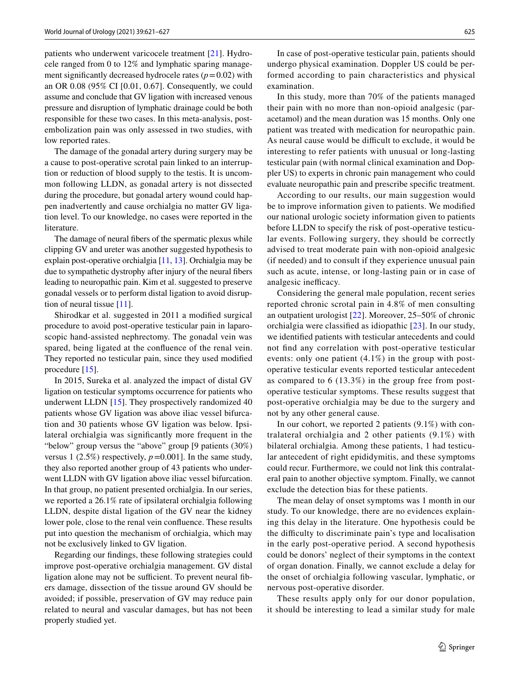patients who underwent varicocele treatment [[21](#page-6-0)]. Hydrocele ranged from 0 to 12% and lymphatic sparing management significantly decreased hydrocele rates  $(p=0.02)$  with an OR 0.08 (95% CI [0.01, 0.67]. Consequently, we could assume and conclude that GV ligation with increased venous pressure and disruption of lymphatic drainage could be both responsible for these two cases. In this meta-analysis, postembolization pain was only assessed in two studies, with low reported rates.

The damage of the gonadal artery during surgery may be a cause to post-operative scrotal pain linked to an interruption or reduction of blood supply to the testis. It is uncommon following LLDN, as gonadal artery is not dissected during the procedure, but gonadal artery wound could happen inadvertently and cause orchialgia no matter GV ligation level. To our knowledge, no cases were reported in the literature.

The damage of neural fbers of the spermatic plexus while clipping GV and ureter was another suggested hypothesis to explain post-operative orchialgia [[11,](#page-5-7) [13](#page-5-9)]. Orchialgia may be due to sympathetic dystrophy after injury of the neural fbers leading to neuropathic pain. Kim et al. suggested to preserve gonadal vessels or to perform distal ligation to avoid disruption of neural tissue [[11\]](#page-5-7).

Shirodkar et al. suggested in 2011 a modifed surgical procedure to avoid post-operative testicular pain in laparoscopic hand-assisted nephrectomy. The gonadal vein was spared, being ligated at the confuence of the renal vein. They reported no testicular pain, since they used modifed procedure [\[15](#page-5-11)].

In 2015, Sureka et al. analyzed the impact of distal GV ligation on testicular symptoms occurrence for patients who underwent LLDN [[15\]](#page-5-11). They prospectively randomized 40 patients whose GV ligation was above iliac vessel bifurcation and 30 patients whose GV ligation was below. Ipsilateral orchialgia was signifcantly more frequent in the "below" group versus the "above" group [9 patients (30%) versus 1  $(2.5\%)$  respectively,  $p=0.001$ . In the same study, they also reported another group of 43 patients who underwent LLDN with GV ligation above iliac vessel bifurcation. In that group, no patient presented orchialgia. In our series, we reported a 26.1% rate of ipsilateral orchialgia following LLDN, despite distal ligation of the GV near the kidney lower pole, close to the renal vein confuence. These results put into question the mechanism of orchialgia, which may not be exclusively linked to GV ligation.

Regarding our fndings, these following strategies could improve post-operative orchialgia management. GV distal ligation alone may not be sufficient. To prevent neural fibers damage, dissection of the tissue around GV should be avoided; if possible, preservation of GV may reduce pain related to neural and vascular damages, but has not been properly studied yet.

In case of post-operative testicular pain, patients should undergo physical examination. Doppler US could be performed according to pain characteristics and physical examination.

In this study, more than 70% of the patients managed their pain with no more than non-opioid analgesic (paracetamol) and the mean duration was 15 months. Only one patient was treated with medication for neuropathic pain. As neural cause would be difficult to exclude, it would be interesting to refer patients with unusual or long-lasting testicular pain (with normal clinical examination and Doppler US) to experts in chronic pain management who could evaluate neuropathic pain and prescribe specifc treatment.

According to our results, our main suggestion would be to improve information given to patients. We modifed our national urologic society information given to patients before LLDN to specify the risk of post-operative testicular events. Following surgery, they should be correctly advised to treat moderate pain with non-opioid analgesic (if needed) and to consult if they experience unusual pain such as acute, intense, or long-lasting pain or in case of analgesic inefficacy.

Considering the general male population, recent series reported chronic scrotal pain in 4.8% of men consulting an outpatient urologist [[22](#page-6-1)]. Moreover, 25–50% of chronic orchialgia were classifed as idiopathic [\[23\]](#page-6-2). In our study, we identifed patients with testicular antecedents and could not fnd any correlation with post-operative testicular events: only one patient (4.1%) in the group with postoperative testicular events reported testicular antecedent as compared to 6 (13.3%) in the group free from postoperative testicular symptoms. These results suggest that post-operative orchialgia may be due to the surgery and not by any other general cause.

In our cohort, we reported 2 patients (9.1%) with contralateral orchialgia and 2 other patients (9.1%) with bilateral orchialgia. Among these patients, 1 had testicular antecedent of right epididymitis, and these symptoms could recur. Furthermore, we could not link this contralateral pain to another objective symptom. Finally, we cannot exclude the detection bias for these patients.

The mean delay of onset symptoms was 1 month in our study. To our knowledge, there are no evidences explaining this delay in the literature. One hypothesis could be the difficulty to discriminate pain's type and localisation in the early post-operative period. A second hypothesis could be donors' neglect of their symptoms in the context of organ donation. Finally, we cannot exclude a delay for the onset of orchialgia following vascular, lymphatic, or nervous post-operative disorder.

These results apply only for our donor population, it should be interesting to lead a similar study for male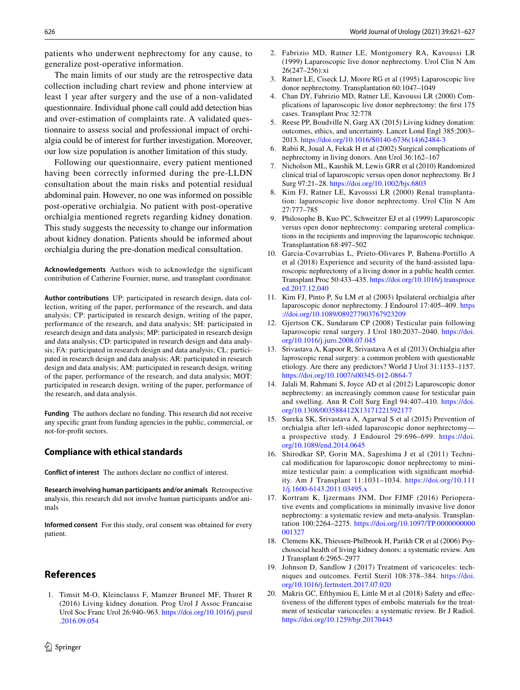patients who underwent nephrectomy for any cause, to generalize post-operative information.

The main limits of our study are the retrospective data collection including chart review and phone interview at least 1 year after surgery and the use of a non-validated questionnaire. Individual phone call could add detection bias and over-estimation of complaints rate. A validated questionnaire to assess social and professional impact of orchialgia could be of interest for further investigation. Moreover, our low size population is another limitation of this study.

Following our questionnaire, every patient mentioned having been correctly informed during the pre-LLDN consultation about the main risks and potential residual abdominal pain. However, no one was informed on possible post-operative orchialgia. No patient with post-operative orchialgia mentioned regrets regarding kidney donation. This study suggests the necessity to change our information about kidney donation. Patients should be informed about orchialgia during the pre-donation medical consultation.

**Acknowledgements** Authors wish to acknowledge the significant contribution of Catherine Fournier, nurse, and transplant coordinator.

**Author contributions** UP: participated in research design, data collection, writing of the paper, performance of the research, and data analysis; CP: participated in research design, writing of the paper, performance of the research, and data analysis; SH: participated in research design and data analysis; MP: participated in research design and data analysis; CD: participated in research design and data analysis; FA: participated in research design and data analysis; CL: participated in research design and data analysis; AR: participated in research design and data analysis; AM: participated in research design, writing of the paper, performance of the research, and data analysis; MOT: participated in research design, writing of the paper, performance of the research, and data analysis.

**Funding** The authors declare no funding. This research did not receive any specifc grant from funding agencies in the public, commercial, or not-for-proft sectors.

## **Compliance with ethical standards**

**Conflict of interest** The authors declare no confict of interest.

**Research involving human participants and/or animals** Retrospective analysis, this research did not involve human participants and/or animals

**Informed consent** For this study, oral consent was obtained for every patient.

# **References**

<span id="page-5-0"></span>1. Timsit M-O, Kleinclauss F, Mamzer Bruneel MF, Thuret R (2016) Living kidney donation. Prog Urol J Assoc Francaise Urol Soc Franc Urol 26:940–963. [https://doi.org/10.1016/j.purol](https://doi.org/10.1016/j.purol.2016.09.054) [.2016.09.054](https://doi.org/10.1016/j.purol.2016.09.054)

- 2. Fabrizio MD, Ratner LE, Montgomery RA, Kavoussi LR (1999) Laparoscopic live donor nephrectomy. Urol Clin N Am 26(247–256):xi
- <span id="page-5-1"></span>3. Ratner LE, Ciseck LJ, Moore RG et al (1995) Laparoscopic live donor nephrectomy. Transplantation 60:1047–1049
- <span id="page-5-2"></span>4. Chan DY, Fabrizio MD, Ratner LE, Kavoussi LR (2000) Complications of laparoscopic live donor nephrectomy: the frst 175 cases. Transplant Proc 32:778
- 5. Reese PP, Boudville N, Garg AX (2015) Living kidney donation: outcomes, ethics, and uncertainty. Lancet Lond Engl 385:2003– 2013. [https://doi.org/10.1016/S0140-6736\(14\)62484-3](https://doi.org/10.1016/S0140-6736(14)62484-3)
- <span id="page-5-3"></span>6. Rabii R, Joual A, Fekak H et al (2002) Surgical complications of nephrectomy in living donors. Ann Urol 36:162–167
- <span id="page-5-4"></span>7. Nicholson ML, Kaushik M, Lewis GRR et al (2010) Randomized clinical trial of laparoscopic versus open donor nephrectomy. Br J Surg 97:21–28.<https://doi.org/10.1002/bjs.6803>
- <span id="page-5-5"></span>8. Kim FJ, Ratner LE, Kavoussi LR (2000) Renal transplantation: laparoscopic live donor nephrectomy. Urol Clin N Am 27:777–785
- 9. Philosophe B, Kuo PC, Schweitzer EJ et al (1999) Laparoscopic versus open donor nephrectomy: comparing ureteral complications in the recipients and improving the laparoscopic technique. Transplantation 68:497–502
- <span id="page-5-6"></span>10. Garcia-Covarrubias L, Prieto-Olivares P, Bahena-Portillo A et al (2018) Experience and security of the hand-assisted laparoscopic nephrectomy of a living donor in a public health center. Transplant Proc 50:433–435. [https://doi.org/10.1016/j.transproce](https://doi.org/10.1016/j.transproceed.2017.12.040) [ed.2017.12.040](https://doi.org/10.1016/j.transproceed.2017.12.040)
- <span id="page-5-7"></span>11. Kim FJ, Pinto P, Su LM et al (2003) Ipsilateral orchialgia after laparoscopic donor nephrectomy. J Endourol 17:405–409. [https](https://doi.org/10.1089/089277903767923209) [://doi.org/10.1089/089277903767923209](https://doi.org/10.1089/089277903767923209)
- <span id="page-5-8"></span>12. Gjertson CK, Sundaram CP (2008) Testicular pain following laparoscopic renal surgery. J Urol 180:2037–2040. [https://doi.](https://doi.org/10.1016/j.juro.2008.07.045) [org/10.1016/j.juro.2008.07.045](https://doi.org/10.1016/j.juro.2008.07.045)
- <span id="page-5-9"></span>13. Srivastava A, Kapoor R, Srivastava A et al (2013) Orchialgia after laproscopic renal surgery: a common problem with questionable etiology. Are there any predictors? World J Urol 31:1153–1157. <https://doi.org/10.1007/s00345-012-0864-7>
- <span id="page-5-10"></span>14. Jalali M, Rahmani S, Joyce AD et al (2012) Laparoscopic donor nephrectomy: an increasingly common cause for testicular pain and swelling. Ann R Coll Surg Engl 94:407–410. [https://doi.](https://doi.org/10.1308/003588412X13171221592177) [org/10.1308/003588412X13171221592177](https://doi.org/10.1308/003588412X13171221592177)
- <span id="page-5-11"></span>15. Sureka SK, Srivastava A, Agarwal S et al (2015) Prevention of orchialgia after left-sided laparoscopic donor nephrectomy a prospective study. J Endourol 29:696–699. [https://doi.](https://doi.org/10.1089/end.2014.0645) [org/10.1089/end.2014.0645](https://doi.org/10.1089/end.2014.0645)
- <span id="page-5-12"></span>16. Shirodkar SP, Gorin MA, Sageshima J et al (2011) Technical modifcation for laparoscopic donor nephrectomy to minimize testicular pain: a complication with signifcant morbidity. Am J Transplant 11:1031–1034. [https://doi.org/10.111](https://doi.org/10.1111/j.1600-6143.2011.03495.x) [1/j.1600-6143.2011.03495.x](https://doi.org/10.1111/j.1600-6143.2011.03495.x)
- <span id="page-5-13"></span>17. Kortram K, Ijzermans JNM, Dor FJMF (2016) Perioperative events and complications in minimally invasive live donor nephrectomy: a systematic review and meta-analysis. Transplantation 100:2264–2275. [https://doi.org/10.1097/TP.0000000000](https://doi.org/10.1097/TP.0000000000001327) [001327](https://doi.org/10.1097/TP.0000000000001327)
- <span id="page-5-14"></span>18. Clemens KK, Thiessen-Philbrook H, Parikh CR et al (2006) Psychosocial health of living kidney donors: a systematic review. Am J Transplant 6:2965–2977
- <span id="page-5-15"></span>19. Johnson D, Sandlow J (2017) Treatment of varicoceles: techniques and outcomes. Fertil Steril 108:378–384. [https://doi.](https://doi.org/10.1016/j.fertnstert.2017.07.020) [org/10.1016/j.fertnstert.2017.07.020](https://doi.org/10.1016/j.fertnstert.2017.07.020)
- <span id="page-5-16"></span>20. Makris GC, Efthymiou E, Little M et al (2018) Safety and efectiveness of the diferent types of embolic materials for the treatment of testicular varicoceles: a systematic review. Br J Radiol. <https://doi.org/10.1259/bjr.20170445>